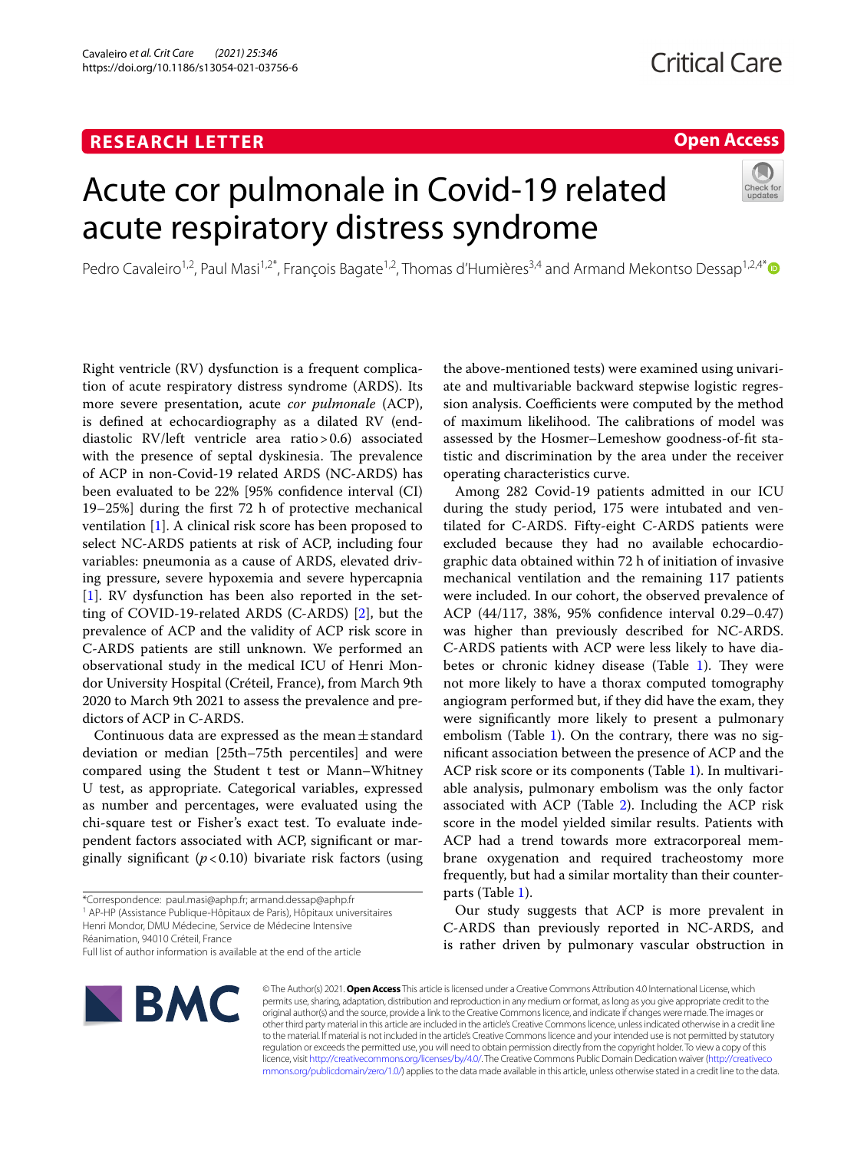# **RESEARCH LETTER**

# **Open Access**

# Acute cor pulmonale in Covid-19 related acute respiratory distress syndrome



Pedro Cavaleiro<sup>1,2</sup>, Paul Masi<sup>1,2[\\*](http://orcid.org/0000-0001-5961-5577)</sup>, François Bagate<sup>1,2</sup>, Thomas d'Humières<sup>3,4</sup> and Armand Mekontso Dessap<sup>1,2,4\*</sup>

Right ventricle (RV) dysfunction is a frequent complication of acute respiratory distress syndrome (ARDS). Its more severe presentation, acute *cor pulmonale* (ACP), is defned at echocardiography as a dilated RV (enddiastolic RV/left ventricle area ratio>0.6) associated with the presence of septal dyskinesia. The prevalence of ACP in non-Covid-19 related ARDS (NC-ARDS) has been evaluated to be 22% [95% confdence interval (CI) 19–25%] during the frst 72 h of protective mechanical ventilation [\[1](#page-2-0)]. A clinical risk score has been proposed to select NC-ARDS patients at risk of ACP, including four variables: pneumonia as a cause of ARDS, elevated driving pressure, severe hypoxemia and severe hypercapnia [[1\]](#page-2-0). RV dysfunction has been also reported in the setting of COVID-19-related ARDS (C-ARDS) [\[2](#page-2-1)], but the prevalence of ACP and the validity of ACP risk score in C-ARDS patients are still unknown. We performed an observational study in the medical ICU of Henri Mondor University Hospital (Créteil, France), from March 9th 2020 to March 9th 2021 to assess the prevalence and predictors of ACP in C-ARDS.

Continuous data are expressed as the mean $\pm$ standard deviation or median [25th–75th percentiles] and were compared using the Student t test or Mann–Whitney U test, as appropriate. Categorical variables, expressed as number and percentages, were evaluated using the chi-square test or Fisher's exact test. To evaluate independent factors associated with ACP, signifcant or marginally significant  $(p<0.10)$  bivariate risk factors (using

<sup>1</sup> AP-HP (Assistance Publique-Hôpitaux de Paris), Hôpitaux universitaires Henri Mondor, DMU Médecine, Service de Médecine Intensive

Réanimation, 94010 Créteil, France

the above-mentioned tests) were examined using univariate and multivariable backward stepwise logistic regression analysis. Coefficients were computed by the method of maximum likelihood. The calibrations of model was assessed by the Hosmer–Lemeshow goodness-of-ft statistic and discrimination by the area under the receiver operating characteristics curve.

Among 282 Covid-19 patients admitted in our ICU during the study period, 175 were intubated and ventilated for C-ARDS. Fifty-eight C-ARDS patients were excluded because they had no available echocardiographic data obtained within 72 h of initiation of invasive mechanical ventilation and the remaining 117 patients were included. In our cohort, the observed prevalence of ACP (44/117, 38%, 95% confdence interval 0.29–0.47) was higher than previously described for NC-ARDS. C-ARDS patients with ACP were less likely to have diabetes or chronic kidney disease (Table  $1$ ). They were not more likely to have a thorax computed tomography angiogram performed but, if they did have the exam, they were signifcantly more likely to present a pulmonary embolism (Table [1\)](#page-1-0). On the contrary, there was no signifcant association between the presence of ACP and the ACP risk score or its components (Table [1](#page-1-0)). In multivariable analysis, pulmonary embolism was the only factor associated with ACP (Table [2\)](#page-2-2). Including the ACP risk score in the model yielded similar results. Patients with ACP had a trend towards more extracorporeal membrane oxygenation and required tracheostomy more frequently, but had a similar mortality than their counterparts (Table [1\)](#page-1-0).

Our study suggests that ACP is more prevalent in C-ARDS than previously reported in NC-ARDS, and is rather driven by pulmonary vascular obstruction in



© The Author(s) 2021. **Open Access** This article is licensed under a Creative Commons Attribution 4.0 International License, which permits use, sharing, adaptation, distribution and reproduction in any medium or format, as long as you give appropriate credit to the original author(s) and the source, provide a link to the Creative Commons licence, and indicate if changes were made. The images or other third party material in this article are included in the article's Creative Commons licence, unless indicated otherwise in a credit line to the material. If material is not included in the article's Creative Commons licence and your intended use is not permitted by statutory regulation or exceeds the permitted use, you will need to obtain permission directly from the copyright holder. To view a copy of this licence, visit [http://creativecommons.org/licenses/by/4.0/.](http://creativecommons.org/licenses/by/4.0/) The Creative Commons Public Domain Dedication waiver ([http://creativeco](http://creativecommons.org/publicdomain/zero/1.0/) [mmons.org/publicdomain/zero/1.0/](http://creativecommons.org/publicdomain/zero/1.0/)) applies to the data made available in this article, unless otherwise stated in a credit line to the data.

<sup>\*</sup>Correspondence: paul.masi@aphp.fr; armand.dessap@aphp.fr

Full list of author information is available at the end of the article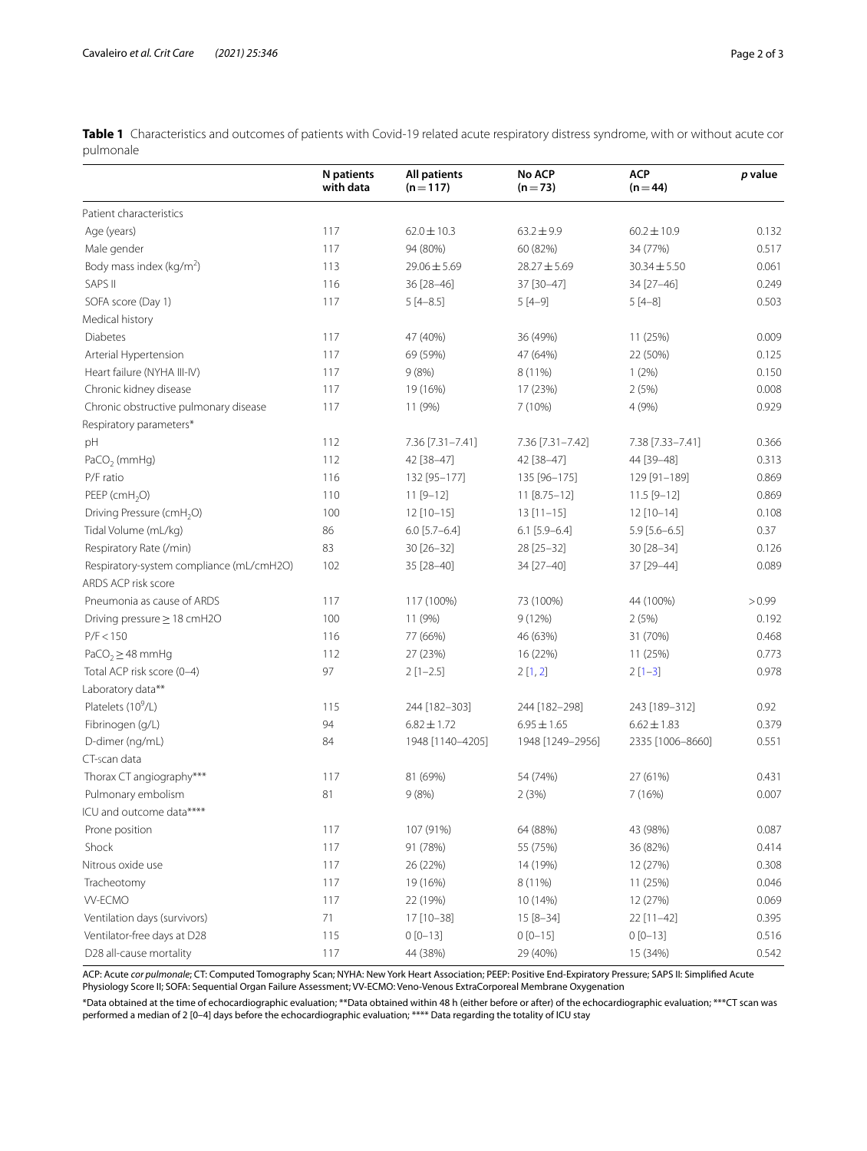<span id="page-1-0"></span>**Table 1** Characteristics and outcomes of patients with Covid-19 related acute respiratory distress syndrome, with or without acute cor pulmonale

|                                          | <b>N</b> patients<br>with data | <b>All patients</b><br>$(n = 117)$ | <b>No ACP</b><br>$(n=73)$ | <b>ACP</b><br>$(n = 44)$ | p value |
|------------------------------------------|--------------------------------|------------------------------------|---------------------------|--------------------------|---------|
| Patient characteristics                  |                                |                                    |                           |                          |         |
| Age (years)                              | 117                            | $62.0 \pm 10.3$                    | $63.2 \pm 9.9$            | $60.2 \pm 10.9$          | 0.132   |
| Male gender                              | 117                            | 94 (80%)                           | 60 (82%)                  | 34 (77%)                 | 0.517   |
| Body mass index (kg/m <sup>2</sup> )     | 113                            | $29.06 \pm 5.69$                   | $28.27 \pm 5.69$          | $30.34 \pm 5.50$         | 0.061   |
| SAPS II                                  | 116                            | 36 [28-46]                         | 37 [30-47]                | 34 [27-46]               | 0.249   |
| SOFA score (Day 1)                       | 117                            | $5[4-8.5]$                         | $5[4-9]$                  | $5[4-8]$                 | 0.503   |
| Medical history                          |                                |                                    |                           |                          |         |
| <b>Diabetes</b>                          | 117                            | 47 (40%)                           | 36 (49%)                  | 11 (25%)                 | 0.009   |
| Arterial Hypertension                    | 117                            | 69 (59%)                           | 47 (64%)                  | 22 (50%)                 | 0.125   |
| Heart failure (NYHA III-IV)              | 117                            | 9(8%)                              | 8 (11%)                   | 1(2%)                    | 0.150   |
| Chronic kidney disease                   | 117                            | 19 (16%)                           | 17 (23%)                  | 2(5%)                    | 0.008   |
| Chronic obstructive pulmonary disease    | 117                            | 11 (9%)                            | 7(10%)                    | 4 (9%)                   | 0.929   |
| Respiratory parameters*                  |                                |                                    |                           |                          |         |
| pH                                       | 112                            | 7.36 [7.31-7.41]                   | 7.36 [7.31-7.42]          | 7.38 [7.33-7.41]         | 0.366   |
| PaCO <sub>2</sub> (mmHg)                 | 112                            | 42 [38-47]                         | 42 [38-47]                | 44 [39-48]               | 0.313   |
| P/F ratio                                | 116                            | 132 [95-177]                       | 135 [96-175]              | 129 [91-189]             | 0.869   |
| PEEP (cmH <sub>2</sub> O)                | 110                            | $11 [9 - 12]$                      | 11 [8.75-12]              | $11.5 [9 - 12]$          | 0.869   |
| Driving Pressure (cmH <sub>2</sub> O)    | 100                            | $12$ [10-15]                       | $13[11-15]$               | $12$ [10-14]             | 0.108   |
| Tidal Volume (mL/kg)                     | 86                             | $6.0$ [5.7-6.4]                    | $6.1$ [5.9-6.4]           | $5.9$ [5.6-6.5]          | 0.37    |
| Respiratory Rate (/min)                  | 83                             | 30 [26-32]                         | 28 [25-32]                | 30 [28-34]               | 0.126   |
| Respiratory-system compliance (mL/cmH2O) | 102                            | 35 [28-40]                         | 34 [27-40]                | 37 [29-44]               | 0.089   |
| ARDS ACP risk score                      |                                |                                    |                           |                          |         |
| Pneumonia as cause of ARDS               | 117                            | 117 (100%)                         | 73 (100%)                 | 44 (100%)                | > 0.99  |
| Driving pressure $\geq$ 18 cmH2O         | 100                            | 11 (9%)                            | 9 (12%)                   | 2(5%)                    | 0.192   |
| P/F < 150                                | 116                            | 77 (66%)                           | 46 (63%)                  | 31 (70%)                 | 0.468   |
| PaCO <sub>2</sub> $\geq$ 48 mmHg         | 112                            | 27 (23%)                           | 16 (22%)                  | 11 (25%)                 | 0.773   |
| Total ACP risk score (0-4)               | 97                             | $2$ [1-2.5]                        | 2[1,2]                    | $2[1-3]$                 | 0.978   |
| Laboratory data**                        |                                |                                    |                           |                          |         |
| Platelets (10 <sup>9</sup> /L)           | 115                            | 244 [182-303]                      | 244 [182-298]             | 243 [189-312]            | 0.92    |
| Fibrinogen (g/L)                         | 94                             | $6.82 \pm 1.72$                    | $6.95 \pm 1.65$           | $6.62 \pm 1.83$          | 0.379   |
| D-dimer (ng/mL)                          | 84                             | 1948 [1140-4205]                   | 1948 [1249-2956]          | 2335 [1006-8660]         | 0.551   |
| CT-scan data                             |                                |                                    |                           |                          |         |
| Thorax CT angiography***                 | 117                            | 81 (69%)                           | 54 (74%)                  | 27 (61%)                 | 0.431   |
| Pulmonary embolism                       | 81                             | 9(8%)                              | 2(3%)                     | 7 (16%)                  | 0.007   |
| ICU and outcome data****                 |                                |                                    |                           |                          |         |
| Prone position                           | 117                            | 107 (91%)                          | 64 (88%)                  | 43 (98%)                 | 0.087   |
| Shock                                    | 117                            | 91 (78%)                           | 55 (75%)                  | 36 (82%)                 | 0.414   |
| Nitrous oxide use                        | 117                            | 26 (22%)                           | 14 (19%)                  | 12 (27%)                 | 0.308   |
| Tracheotomy                              | 117                            | 19 (16%)                           | 8 (11%)                   | 11 (25%)                 | 0.046   |
| <b>VV-ECMO</b>                           | 117                            | 22 (19%)                           | 10 (14%)                  | 12 (27%)                 | 0.069   |
| Ventilation days (survivors)             | 71                             | 17 [10-38]                         | 15 [8-34]                 | 22 [11-42]               | 0.395   |
| Ventilator-free days at D28              | 115                            | $0[0-13]$                          | $0[0-15]$                 | $0[0-13]$                | 0.516   |
| D28 all-cause mortality                  | 117                            | 44 (38%)                           | 29 (40%)                  | 15 (34%)                 | 0.542   |

ACP: Acute *cor pulmonale*; CT: Computed Tomography Scan; NYHA: New York Heart Association; PEEP: Positive End-Expiratory Pressure; SAPS II: Simplifed Acute Physiology Score II; SOFA: Sequential Organ Failure Assessment; VV-ECMO: Veno-Venous ExtraCorporeal Membrane Oxygenation

\*Data obtained at the time of echocardiographic evaluation; \*\*Data obtained within 48 h (either before or after) of the echocardiographic evaluation; \*\*\*CT scan was performed a median of 2 [0–4] days before the echocardiographic evaluation; \*\*\*\* Data regarding the totality of ICU stay